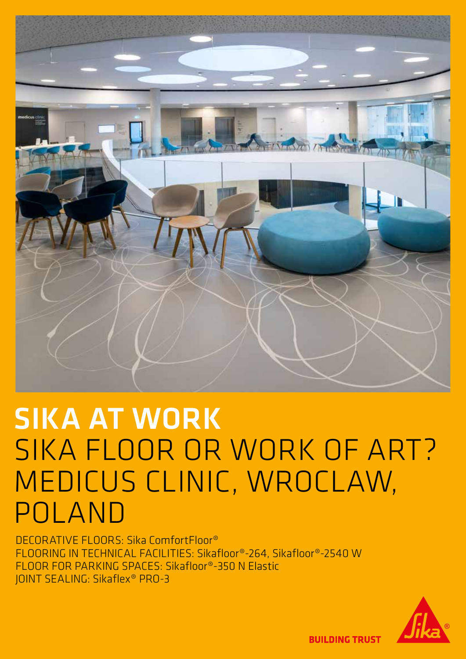

# SIKA AT WORK SIKA FLOOR OR WORK OF ART? MEDICUS CLINIC, WROCLAW, POLAND

DECORATIVE FLOORS: Sika ComfortFloor® FLOORING IN TECHNICAL FACILITIES: Sikafloor®-264, Sikafloor®-2540 W FLOOR FOR PARKING SPACES: Sikafloor®-350 N Elastic JOINT SEALING: Sikaflex® PRO-3



**BUILDING TRUST**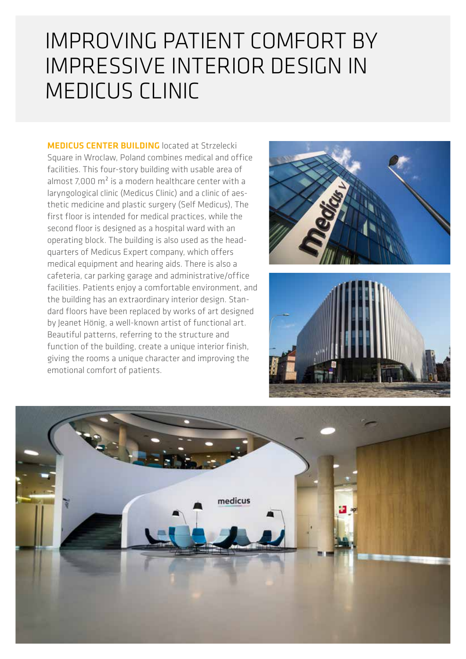### IMPROVING PATIENT COMFORT BY IMPRESSIVE INTERIOR DESIGN IN MEDICUS CLINIC

**MEDICUS CENTER BUILDING** located at Strzelecki Square in Wroclaw, Poland combines medical and office facilities. This four-story building with usable area of almost 7,000 m² is a modern healthcare center with a laryngological clinic (Medicus Clinic) and a clinic of aesthetic medicine and plastic surgery (Self Medicus), The first floor is intended for medical practices, while the second floor is designed as a hospital ward with an operating block. The building is also used as the headquarters of Medicus Expert company, which offers medical equipment and hearing aids. There is also a cafeteria, car parking garage and administrative/office facilities. Patients enjoy a comfortable environment, and the building has an extraordinary interior design. Standard floors have been replaced by works of art designed by Jeanet Hönig, a well-known artist of functional art. Beautiful patterns, referring to the structure and function of the building, create a unique interior finish, giving the rooms a unique character and improving the emotional comfort of patients.





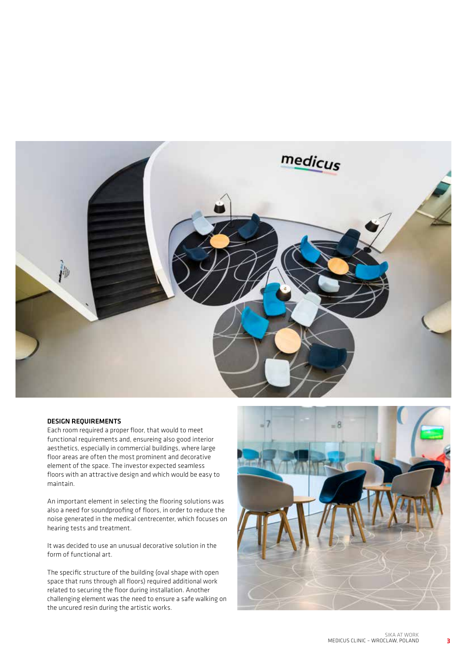

#### DESIGN REQUIREMENTS

Each room required a proper floor, that would to meet functional requirements and, ensureing also good interior aesthetics, especially in commercial buildings, where large floor areas are often the most prominent and decorative element of the space. The investor expected seamless floors with an attractive design and which would be easy to maintain.

An important element in selecting the flooring solutions was also a need for soundproofing of floors, in order to reduce the noise generated in the medical centrecenter, which focuses on hearing tests and treatment.

It was decided to use an unusual decorative solution in the form of functional art.

The specific structure of the building (oval shape with open space that runs through all floors) required additional work related to securing the floor during installation. Another challenging element was the need to ensure a safe walking on the uncured resin during the artistic works.

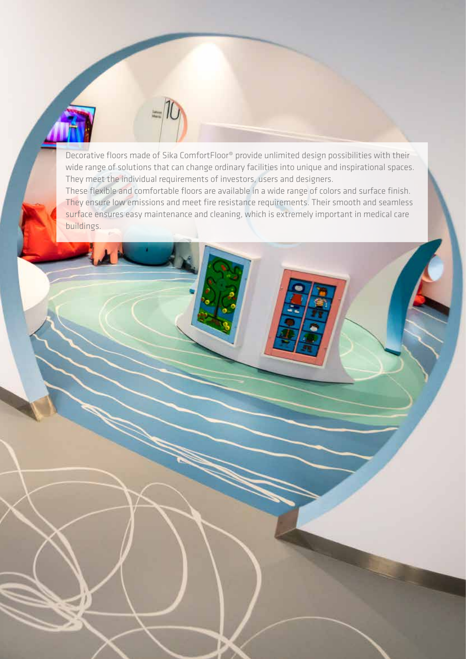Decorative floors made of Sika ComfortFloor® provide unlimited design possibilities with their wide range of solutions that can change ordinary facilities into unique and inspirational spaces. They meet the individual requirements of investors, users and designers.

These flexible and comfortable floors are available in a wide range of colors and surface finish. They ensure low emissions and meet fire resistance requirements. Their smooth and seamless surface ensures easy maintenance and cleaning, which is extremely important in medical care buildings.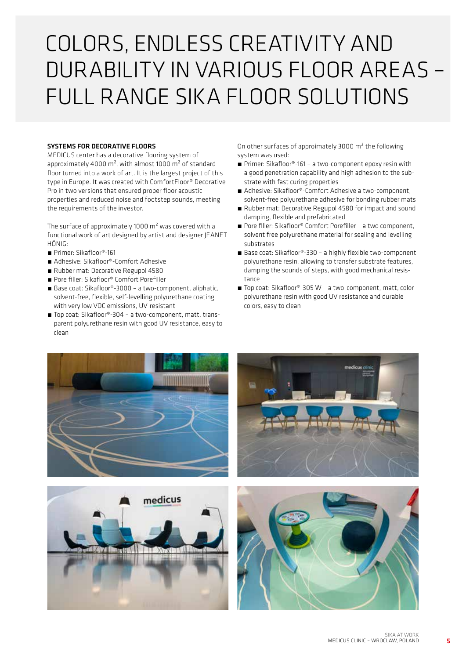## COLORS, ENDLESS CREATIVITY AND DURABILITY IN VARIOUS FLOOR AREAS – FULL RANGE SIKA FLOOR SOLUTIONS

#### SYSTEMS FOR DECORATIVE FLOORS

MEDICUS center has a decorative flooring system of approximately 4000 m<sup>2</sup>, with almost 1000 m<sup>2</sup> of standard floor turned into a work of art. It is the largest project of this type in Europe. It was created with ComfortFloor® Decorative Pro in two versions that ensured proper floor acoustic properties and reduced noise and footstep sounds, meeting the requirements of the investor.

The surface of approximately 1000 m<sup>2</sup> was covered with a functional work of art designed by artist and designer JEANET HÖNIG:

- Primer: Sikafloor®-161
- Adhesive: Sikafloor®-Comfort Adhesive
- Rubber mat: Decorative Regupol 4580
- Pore filler: Sikafloor® Comfort Porefiller
- Base coat: Sikafloor®-3000 a two-component, aliphatic, solvent-free, flexible, self-levelling polyurethane coating with very low VOC emissions, UV-resistant
- Top coat: Sikafloor®-304 a two-component, matt, transparent polyurethane resin with good UV resistance, easy to clean

On other surfaces of approimately 3000 m² the following system was used:

- Primer: Sikafloor®-161 a two-component epoxy resin with a good penetration capability and high adhesion to the substrate with fast curing properties
- Adhesive: Sikafloor®-Comfort Adhesive a two-component, solvent-free polyurethane adhesive for bonding rubber mats
- Rubber mat: Decorative Regupol 4580 for impact and sound damping, flexible and prefabricated
- Pore filler: Sikafloor® Comfort Porefiller a two component, solvent free polyurethane material for sealing and levelling substrates
- Base coat: Sikafloor®-330 a highly flexible two-component polyurethane resin, allowing to transfer substrate features, damping the sounds of steps, with good mechanical resistance
- Top coat: Sikafloor®-305 W a two-component, matt, color polyurethane resin with good UV resistance and durable colors, easy to clean





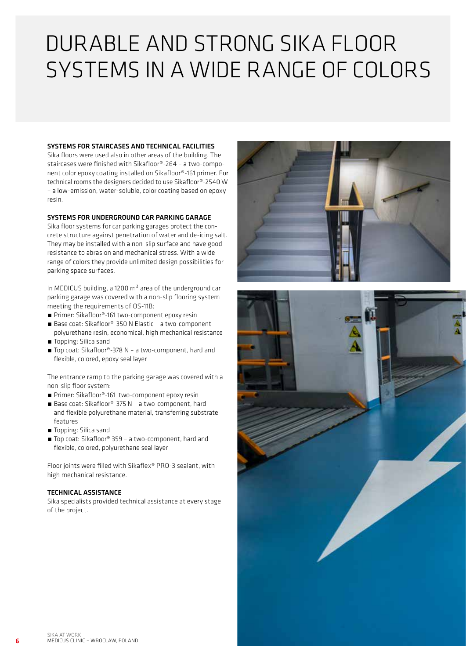### DURABLE AND STRONG SIKA FLOOR SYSTEMS IN A WIDE RANGE OF COLORS

#### SYSTEMS FOR STAIRCASES AND TECHNICAL FACILITIES

Sika floors were used also in other areas of the building. The staircases were finished with Sikafloor®-264 – a two-component color epoxy coating installed on Sikafloor®-161 primer. For technical rooms the designers decided to use Sikafloor®-2540 W – a low-emission, water-soluble, color coating based on epoxy resin.

#### SYSTEMS FOR UNDERGROUND CAR PARKING GARAGE

Sika floor systems for car parking garages protect the concrete structure against penetration of water and de-icing salt. They may be installed with a non-slip surface and have good resistance to abrasion and mechanical stress. With a wide range of colors they provide unlimited design possibilities for parking space surfaces.

In MEDICUS building, a 1200 m² area of the underground car parking garage was covered with a non-slip flooring system meeting the requirements of OS-11B:

- Primer: Sikafloor®-161 two-component epoxy resin
- Base coat: Sikafloor®-350 N Elastic a two-component polyurethane resin, economical, high mechanical resistance
- Topping: Silica sand
- Top coat: Sikafloor®-378 N a two-component, hard and flexible, colored, epoxy seal layer

The entrance ramp to the parking garage was covered with a non-slip floor system:

- Primer: Sikafloor®-161 two-component epoxy resin
- Base coat: Sikafloor®-375 N a two-component, hard and flexible polyurethane material, transferring substrate features
- Topping: Silica sand
- Top coat: Sikafloor® 359 a two-component, hard and flexible, colored, polyurethane seal layer

Floor joints were filled with Sikaflex® PRO-3 sealant, with high mechanical resistance.

#### TECHNICAL ASSISTANCE

Sika specialists provided technical assistance at every stage of the project.





6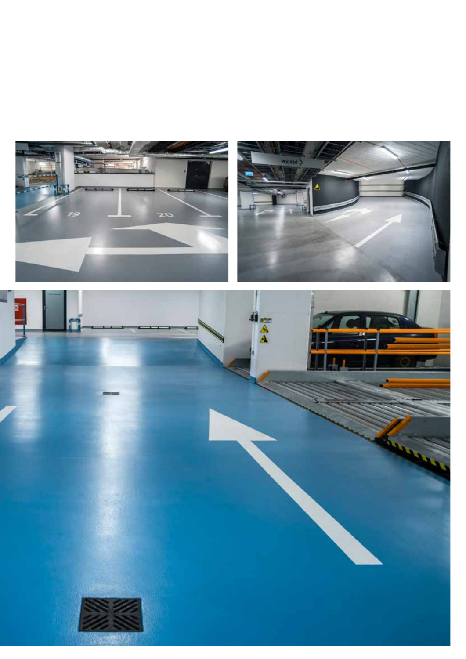